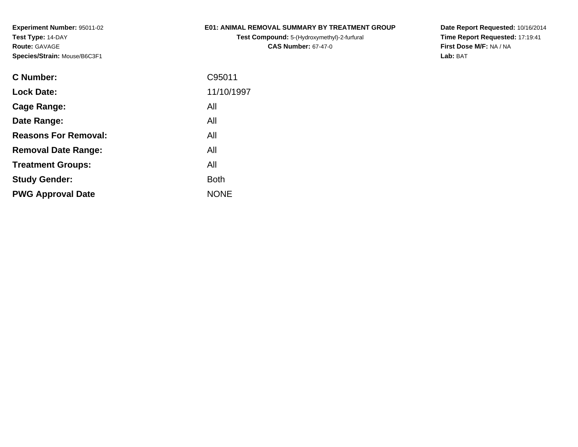## **E01: ANIMAL REMOVAL SUMMARY BY TREATMENT GROUP**

**Test Compound:** 5-(Hydroxymethyl)-2-furfural **CAS Number:** 67-47-0

| <b>C</b> Number:            | C95011      |
|-----------------------------|-------------|
| <b>Lock Date:</b>           | 11/10/1997  |
| Cage Range:                 | All         |
| Date Range:                 | All         |
| <b>Reasons For Removal:</b> | All         |
| <b>Removal Date Range:</b>  | All         |
| <b>Treatment Groups:</b>    | All         |
| <b>Study Gender:</b>        | <b>Both</b> |
| <b>PWG Approval Date</b>    | <b>NONE</b> |
|                             |             |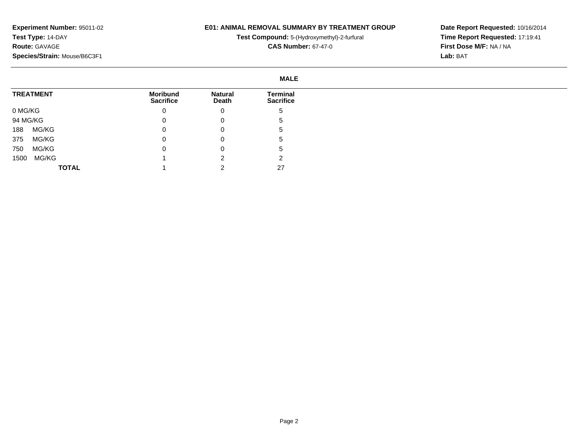## **E01: ANIMAL REMOVAL SUMMARY BY TREATMENT GROUP**

**Test Compound:** 5-(Hydroxymethyl)-2-furfural

**CAS Number:** 67-47-0

|          |                  |                                     |                         | <b>MALE</b>                  |
|----------|------------------|-------------------------------------|-------------------------|------------------------------|
|          | <b>TREATMENT</b> | <b>Moribund</b><br><b>Sacrifice</b> | <b>Natural</b><br>Death | Terminal<br><b>Sacrifice</b> |
| 0 MG/KG  |                  | 0                                   | 0                       | G                            |
| 94 MG/KG |                  | 0                                   | U                       | ა                            |
| 188      | MG/KG            | 0                                   | 0                       | G                            |
| 375      | MG/KG            | 0                                   | 0                       | G                            |
| 750      | MG/KG            |                                     | U                       | ა                            |
| 1500     | MG/KG            |                                     |                         | ⌒                            |
|          | <b>TOTAL</b>     |                                     |                         | 27                           |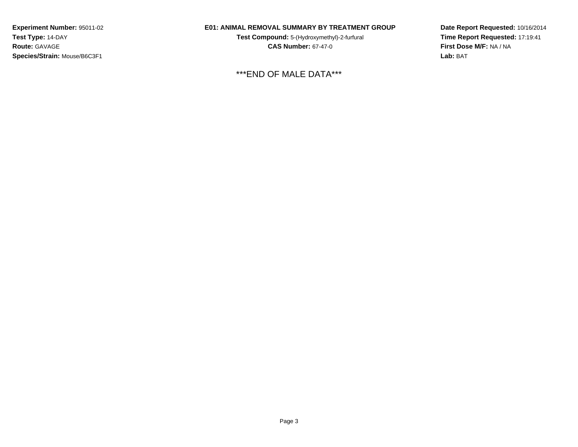## **E01: ANIMAL REMOVAL SUMMARY BY TREATMENT GROUP**

**Test Compound:** 5-(Hydroxymethyl)-2-furfural **CAS Number:** 67-47-0

\*\*\*END OF MALE DATA\*\*\*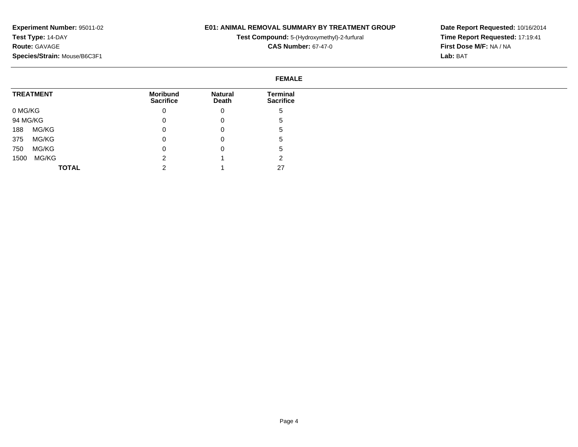## **E01: ANIMAL REMOVAL SUMMARY BY TREATMENT GROUP**

**Test Compound:** 5-(Hydroxymethyl)-2-furfural

**CAS Number:** 67-47-0

**Date Report Requested:** 10/16/2014 **Time Report Requested:** 17:19:41**First Dose M/F:** NA / NA**Lab:** BAT

#### **FEMALETREATMENT**0 MG/KG 94 MG/KG 188 MG/KG 375 MG/KG 750 MG/KG 1500 MG/KG**TOTALMoribund Sacrifice**0 $\overline{0}$  $\overline{0}$  0 $\overline{0}$  2 2**Natural Death**0 0 0 0 0 1 1**Terminal Sacrifice**5 5 5 5 5 227